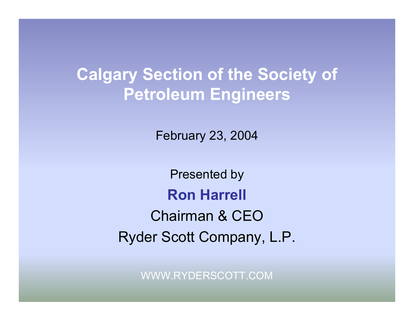#### **Calgary Section of the Society of Petroleum Engineers**

February 23, 2004

Presented by **Ron Harrell** Chairman & CEORyder Scott Company, L.P.

WWW.RYDERSCOTT.COM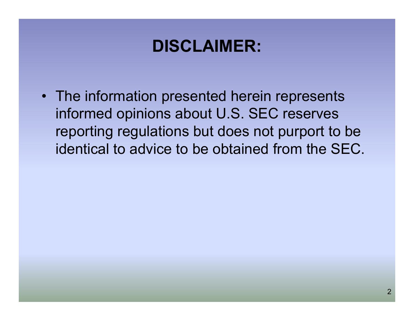#### **DISCLAIMER:**

• The information presented herein represents informed opinions about U.S. SEC reserves reporting regulations but does not purport to be identical to advice to be obtained from the SEC.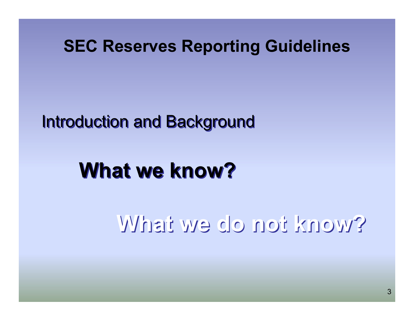#### Introduction and Background Introduction and Background

# **What we know?**

## **What we do not know?What we do not know?**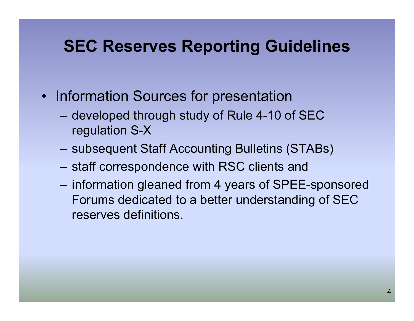- Information Sources for presentation
	- developed through study of Rule 4-10 of SEC regulation S-X
	- subsequent Staff Accounting Bulletins (STABs)
	- staff correspondence with RSC clients and
	- information gleaned from 4 years of SPEE-sponsored Forums dedicated to a better understanding of SEC reserves definitions.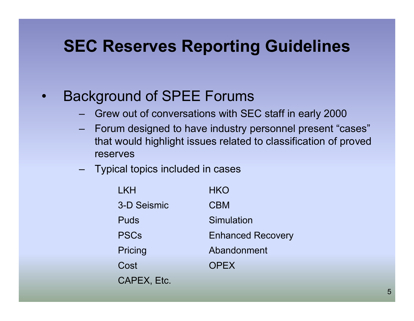- • Background of SPEE Forums
	- Grew out of conversations with SEC staff in early 2000
	- Forum designed to have industry personnel present "cases" that would highlight issues related to classification of proved reserves
	- Typical topics included in cases

| <b>LKH</b>  | <b>HKO</b>               |
|-------------|--------------------------|
| 3-D Seismic | <b>CBM</b>               |
| <b>Puds</b> | Simulation               |
| <b>PSCs</b> | <b>Enhanced Recovery</b> |
| Pricing     | Abandonment              |
| Cost        | <b>OPEX</b>              |
| CAPEX, Etc. |                          |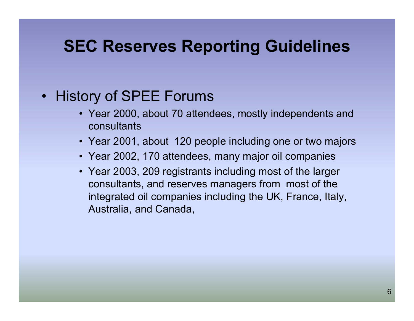#### • History of SPEE Forums

- Year 2000, about 70 attendees, mostly independents and consultants
- Year 2001, about 120 people including one or two majors
- Year 2002, 170 attendees, many major oil companies
- Year 2003, 209 registrants including most of the larger consultants, and reserves managers from most of the integrated oil companies including the UK, France, Italy, Australia, and Canada,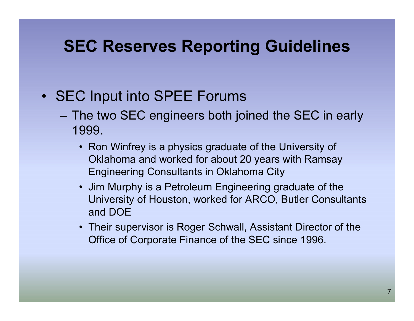- SEC Input into SPEE Forums
	- The two SEC engineers both joined the SEC in early 1999.
		- Ron Winfrey is a physics graduate of the University of Oklahoma and worked for about 20 years with Ramsay Engineering Consultants in Oklahoma City
		- Jim Murphy is a Petroleum Engineering graduate of the University of Houston, worked for ARCO, Butler Consultants and DOE
		- Their supervisor is Roger Schwall, Assistant Director of the Office of Corporate Finance of the SEC since 1996.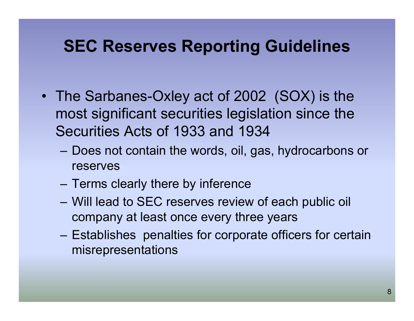- The Sarbanes-Oxley act of 2002 (SOX) is the most significant securities legislation since the Securities Acts of 1933 and 1934
	- Does not contain the words, oil, gas, hydrocarbons or reserves
	- Terms clearly there by inference
	- Will lead to SEC reserves review of each public oil company at least once every three years
	- Establishes penalties for corporate officers for certain misrepresentations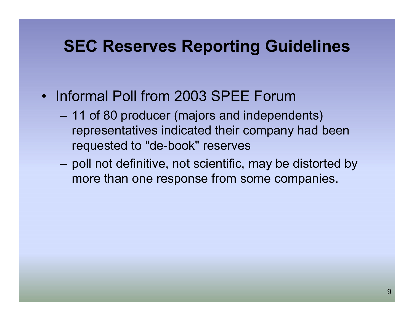- Informal Poll from 2003 SPEE Forum
	- 11 of 80 producer (majors and independents) representatives indicated their company had been requested to "de-book" reserves
	- poll not definitive, not scientific, may be distorted by more than one response from some companies.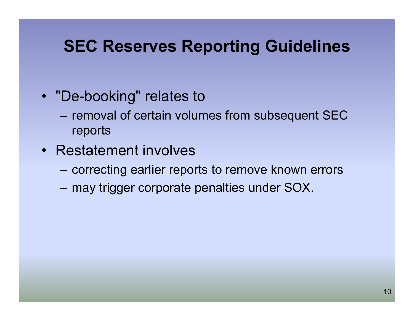- "De-booking" relates to
	- removal of certain volumes from subsequent SEC reports
- Restatement involves
	- correcting earlier reports to remove known errors
	- may trigger corporate penalties under SOX.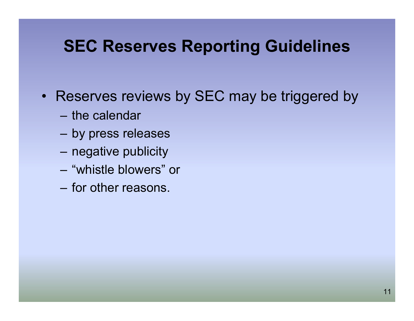- Reserves reviews by SEC may be triggered by
	- the calendar
	- by press releases
	- negative publicity
	- "whistle blowers" or
	- for other reasons.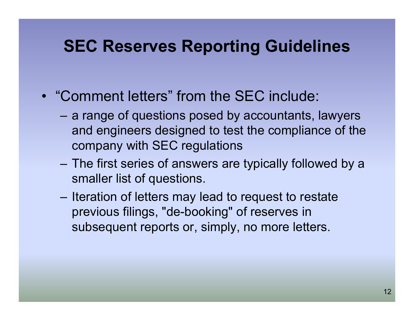- "Comment letters" from the SEC include:
	- a range of questions posed by accountants, lawyers and engineers designed to test the compliance of the company with SEC regulations
	- The first series of answers are typically followed by a smaller list of questions.
	- Iteration of letters may lead to request to restate previous filings, "de-booking" of reserves in subsequent reports or, simply, no more letters.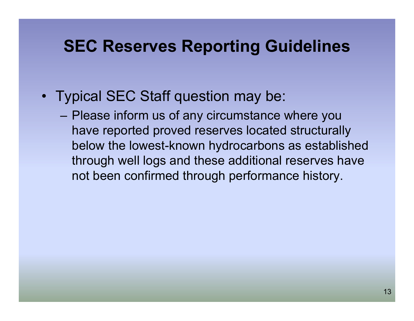- Typical SEC Staff question may be:
	- Please inform us of any circumstance where you have reported proved reserves located structurally below the lowest-known hydrocarbons as established through well logs and these additional reserves have not been confirmed through performance history.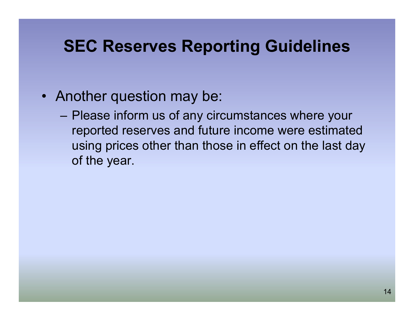- Another question may be:
	- Please inform us of any circumstances where your reported reserves and future income were estimated using prices other than those in effect on the last day of the year.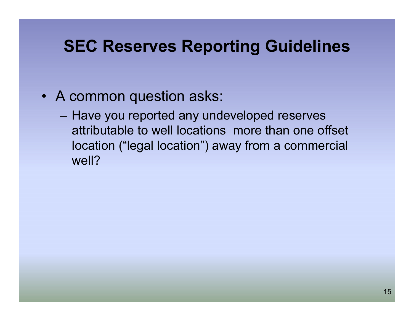- A common question asks:
	- Have you reported any undeveloped reserves attributable to well locations more than one offset location ("legal location") away from a commercial well?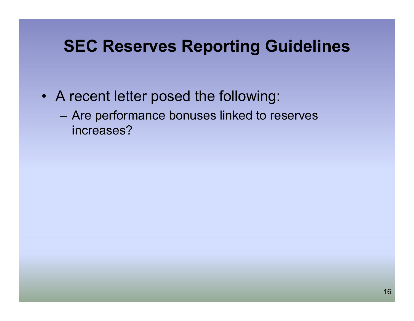- A recent letter posed the following:
	- Are performance bonuses linked to reserves increases?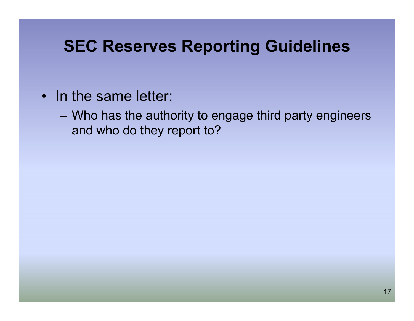- In the same letter:
	- Who has the authority to engage third party engineers and who do they report to?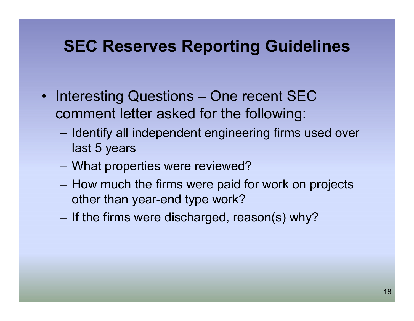- Interesting Questions One recent SEC comment letter asked for the following:
	- Identify all independent engineering firms used over last 5 years
	- What properties were reviewed?
	- How much the firms were paid for work on projects other than year-end type work?
	- –If the firms were discharged, reason(s) why?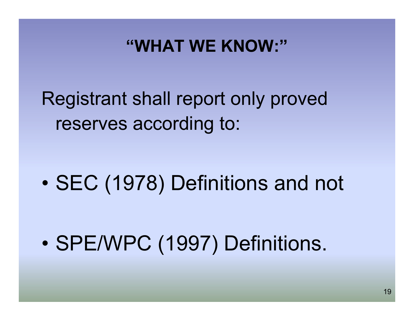## Registrant shall report only proved reserves according to:

 $\bullet$ SEC (1978) Definitions and not

•SPE/WPC (1997) Definitions.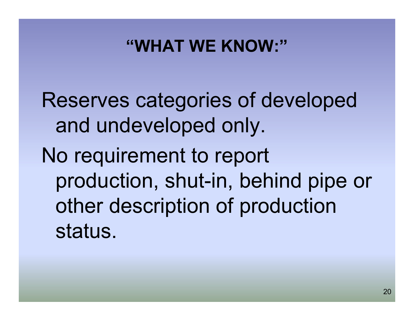Reserves categories of developed and undeveloped only.

No requirement to report production, shut-in, behind pipe or other description of production status.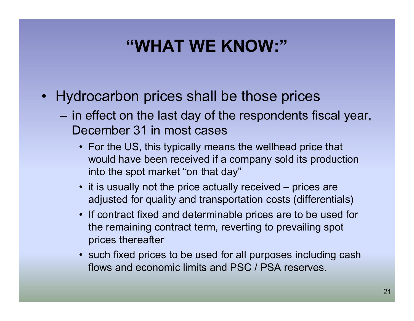- Hydrocarbon prices shall be those prices
	- in effect on the last day of the respondents fiscal year, December 31 in most cases
		- For the US, this typically means the wellhead price that would have been received if a company sold its production into the spot market "on that day"
		- it is usually not the price actually received prices are adjusted for quality and transportation costs (differentials)
		- If contract fixed and determinable prices are to be used for the remaining contract term, reverting to prevailing spot prices thereafter
		- such fixed prices to be used for all purposes including cash flows and economic limits and PSC / PSA reserves.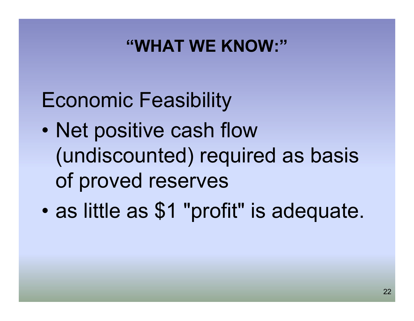## Economic Feasibility

- $\bullet$  Net positive cash flow (undiscounted) required as basis of proved reserves
- $\bullet$ as little as \$1 "profit" is adequate.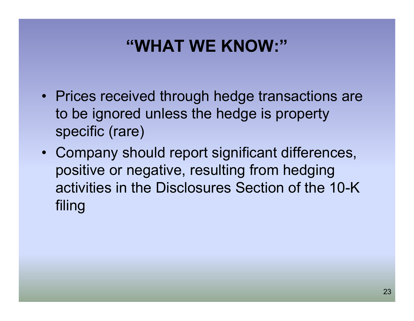- Prices received through hedge transactions are to be ignored unless the hedge is property specific (rare)
- Company should report significant differences, positive or negative, resulting from hedging activities in the Disclosures Section of the 10-K filing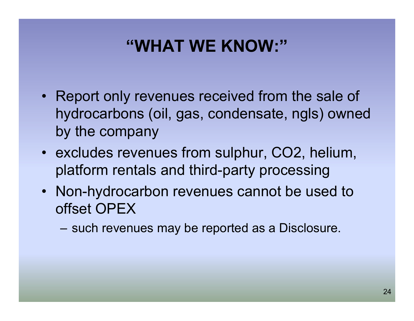- Report only revenues received from the sale of hydrocarbons (oil, gas, condensate, ngls) owned by the company
- excludes revenues from sulphur, CO2, helium, platform rentals and third-party processing
- Non-hydrocarbon revenues cannot be used to offset OPEX
	- such revenues may be reported as a Disclosure.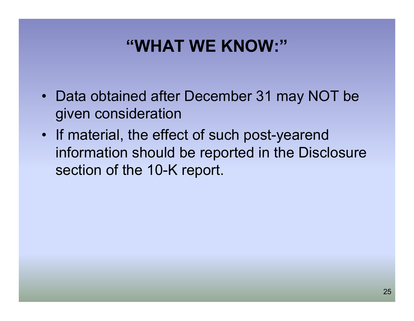- Data obtained after December 31 may NOT be given consideration
- If material, the effect of such post-yearend information should be reported in the Disclosure section of the 10-K report.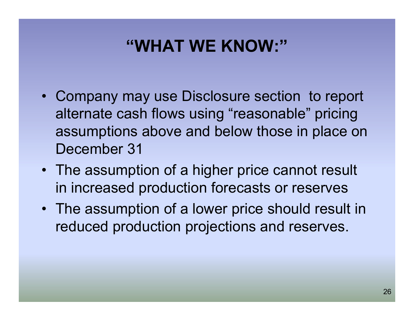- Company may use Disclosure section to report alternate cash flows using "reasonable" pricing assumptions above and below those in place on December 31
- The assumption of a higher price cannot result in increased production forecasts or reserves
- The assumption of a lower price should result in reduced production projections and reserves.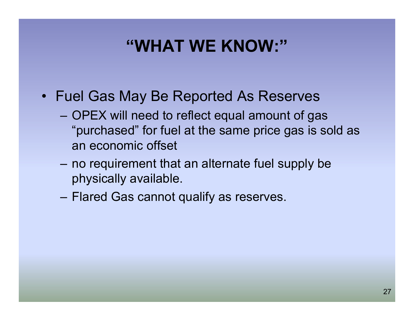- Fuel Gas May Be Reported As Reserves
	- OPEX will need to reflect equal amount of gas "purchased" for fuel at the same price gas is sold as an economic offset
	- no requirement that an alternate fuel supply be physically available.
	- Flared Gas cannot qualify as reserves.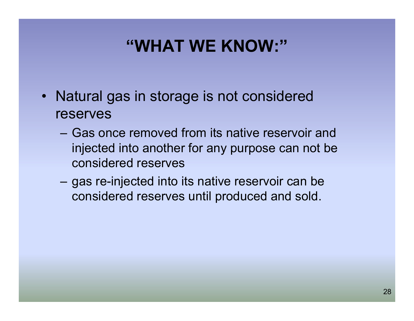- Natural gas in storage is not considered reserves
	- Gas once removed from its native reservoir and injected into another for any purpose can not be considered reserves
	- – gas re-injected into its native reservoir can be considered reserves until produced and sold.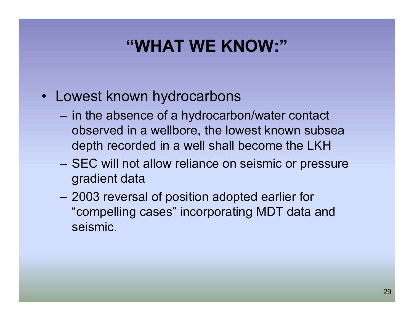- Lowest known hydrocarbons
	- in the absence of a hydrocarbon/water contact observed in a wellbore, the lowest known subsea depth recorded in a well shall become the LKH
	- SEC will not allow reliance on seismic or pressure gradient data
	- 2003 reversal of position adopted earlier for "compelling cases" incorporating MDT data and seismic.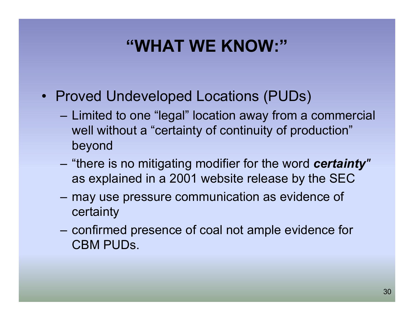- Proved Undeveloped Locations (PUDs)
	- Limited to one "legal" location away from a commercial well without a "certainty of continuity of production" beyond
	- "there is no mitigating modifier for the word *certainty"*  as explained in a 2001 website release by the SEC
	- may use pressure communication as evidence of certainty
	- – confirmed presence of coal not ample evidence for CBM PUDs.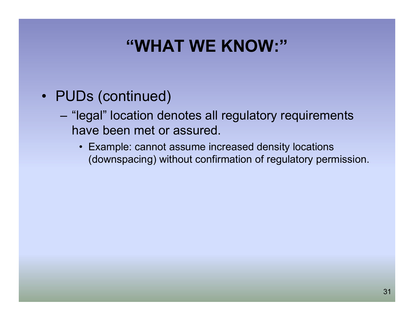- PUDs (continued)
	- "legal" location denotes all regulatory requirements have been met or assured.
		- Example: cannot assume increased density locations (downspacing) without confirmation of regulatory permission.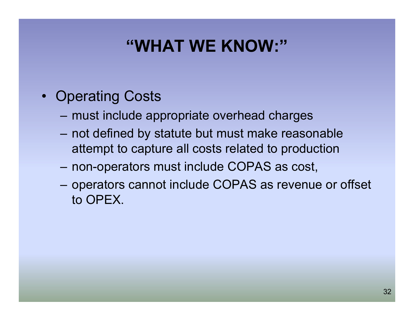- Operating Costs
	- must include appropriate overhead charges
	- not defined by statute but must make reasonable attempt to capture all costs related to production
	- non-operators must include COPAS as cost,
	- operators cannot include COPAS as revenue or offset to OPEX.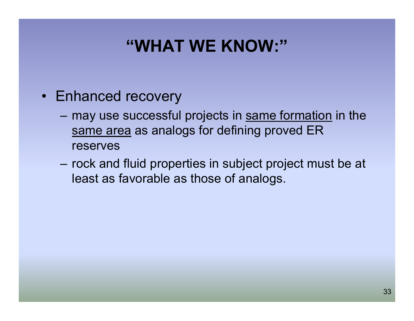- Enhanced recovery
	- may use successful projects in same formation in the same area as analogs for defining proved ER reserves
	- rock and fluid properties in subject project must be at least as favorable as those of analogs.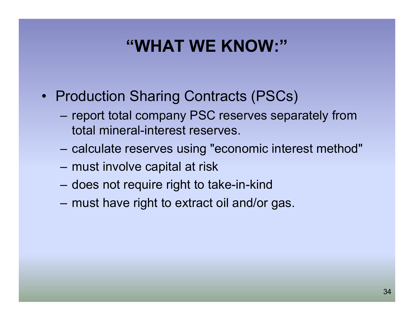- Production Sharing Contracts (PSCs)
	- report total company PSC reserves separately from total mineral-interest reserves.
	- calculate reserves using "economic interest method"
	- must involve capital at risk
	- does not require right to take-in-kind
	- must have right to extract oil and/or gas.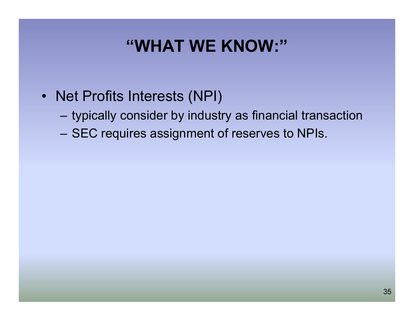- Net Profits Interests (NPI)
	- typically consider by industry as financial transaction
	- SEC requires assignment of reserves to NPIs.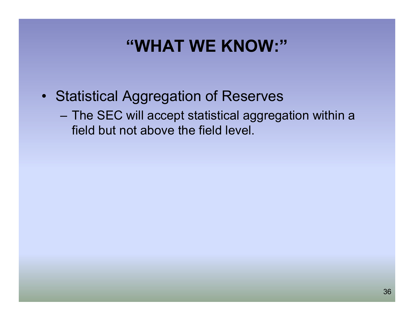- Statistical Aggregation of Reserves
	- The SEC will accept statistical aggregation within a field but not above the field level.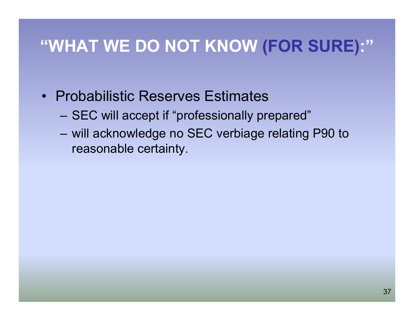- Probabilistic Reserves Estimates
	- SEC will accept if "professionally prepared"
	- will acknowledge no SEC verbiage relating P90 to reasonable certainty.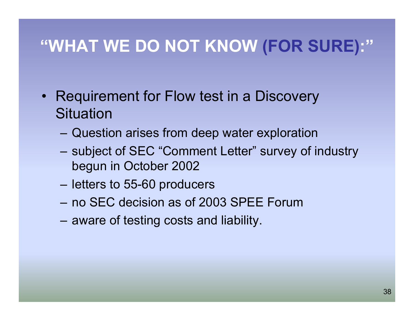- Requirement for Flow test in a Discovery **Situation** 
	- Question arises from deep water exploration
	- subject of SEC "Comment Letter" survey of industry begun in October 2002
	- letters to 55-60 producers
	- no SEC decision as of 2003 SPEE Forum
	- aware of testing costs and liability.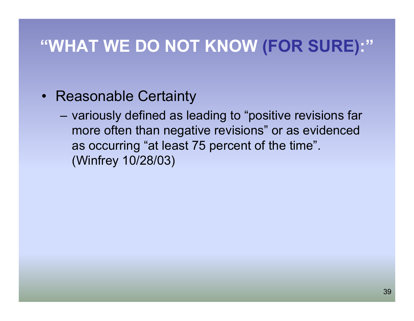- Reasonable Certainty
	- variously defined as leading to "positive revisions far more often than negative revisions" or as evidenced as occurring "at least 75 percent of the time". (Winfrey 10/28/03)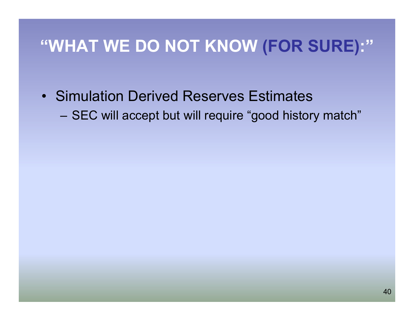• Simulation Derived Reserves Estimates

SEC will accept but will require "good history match"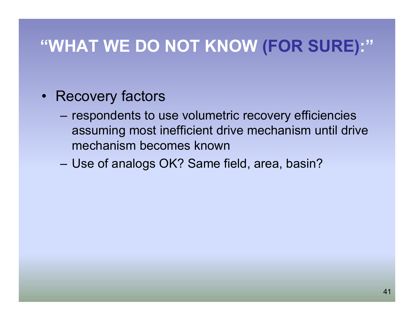- Recovery factors
	- respondents to use volumetric recovery efficiencies assuming most inefficient drive mechanism until drive mechanism becomes known
	- Use of analogs OK? Same field, area, basin?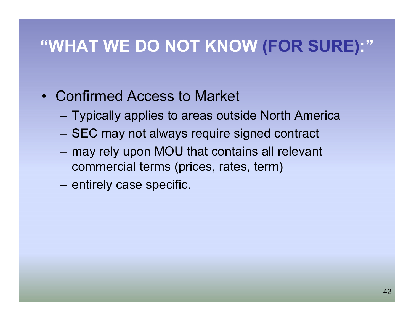- Confirmed Access to Market
	- Typically applies to areas outside North America
	- SEC may not always require signed contract
	- may rely upon MOU that contains all relevant commercial terms (prices, rates, term)
	- entirely case specific.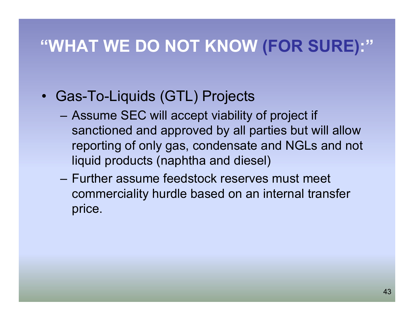- Gas-To-Liquids (GTL) Projects
	- Assume SEC will accept viability of project if sanctioned and approved by all parties but will allow reporting of only gas, condensate and NGLs and not liquid products (naphtha and diesel)
	- Further assume feedstock reserves must meet commerciality hurdle based on an internal transfer price.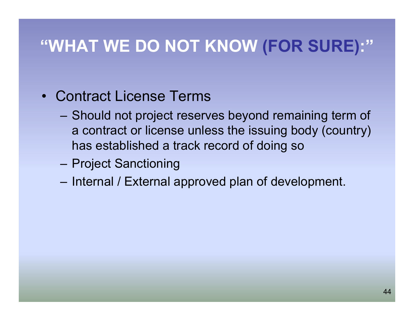- Contract License Terms
	- Should not project reserves beyond remaining term of a contract or license unless the issuing body (country) has established a track record of doing so
	- Project Sanctioning
	- Internal / External approved plan of development.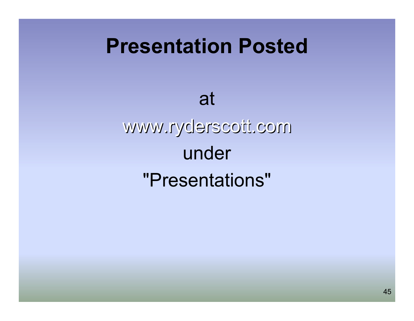## **Presentation Posted**

# at www.ryderscott.com www.ryderscott.com under "Presentations"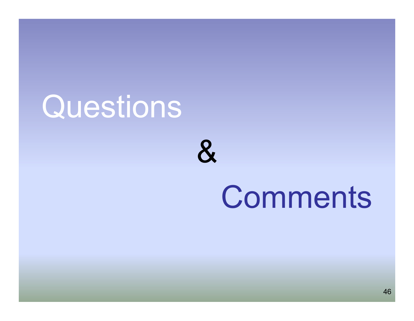# **Questions**

&

# **Comments**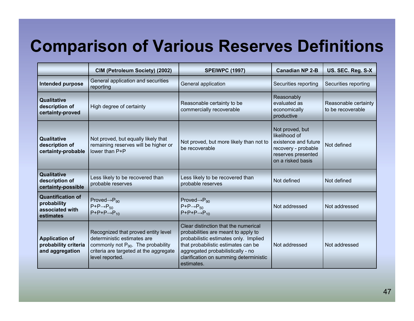## **Comparison of Various Reserves Definitions**

|                                                                         | CIM (Petroleum Society) (2002)                                                                                                                                             | <b>SPEIWPC (1997)</b>                                                                                                                                                                                                                                    | <b>Canadian NP 2-B</b> | US. SEC. Reg. S-X                         |
|-------------------------------------------------------------------------|----------------------------------------------------------------------------------------------------------------------------------------------------------------------------|----------------------------------------------------------------------------------------------------------------------------------------------------------------------------------------------------------------------------------------------------------|------------------------|-------------------------------------------|
| Intended purpose                                                        | General application and securities<br>reporting                                                                                                                            | General application                                                                                                                                                                                                                                      | Securities reporting   | Securities reporting                      |
| Qualitative<br>description of<br>certainty-proved                       | High degree of certainty                                                                                                                                                   | Reasonably<br>evaluated as<br>Reasonable certainty to be<br>commercially recoverable<br>economically<br>productive                                                                                                                                       |                        | Reasonable certainty<br>to be recoverable |
| Qualitative<br>description of<br>certainty-probable                     | Not proved, but equally likely that<br>remaining reserves will be higher or<br>lower than P+P                                                                              | Not proved, but<br>likelihood of<br>Not proved, but more likely than not to<br>existence and future<br>be recoverable<br>recovery - probable<br>reserves presented<br>on a risked basis                                                                  |                        | Not defined                               |
| <b>Qualitative</b><br>description of<br>certainty-possible              | Less likely to be recovered than<br>probable reserves                                                                                                                      | Less likely to be recovered than<br>probable reserves                                                                                                                                                                                                    | Not defined            | Not defined                               |
| <b>Quantification of</b><br>probability<br>associated with<br>estimates | $Proved \rightarrow P_{90}$<br>$P+P\rightarrow P_{50}$<br>$P+P+P\rightarrow P_{10}$                                                                                        | Proved $\rightarrow P_{90}$<br>$P+P\rightarrow P_{50}$<br>$P+P+P\rightarrow P_{10}$                                                                                                                                                                      | Not addressed          | Not addressed                             |
| <b>Application of</b><br>probability criteria<br>and aggregation        | Recognized that proved entity level<br>deterministic estimates are<br>commonly not $P_{90}$ . The probability<br>criteria are targeted at the aggregate<br>level reported. | Clear distinction that the numerical<br>probabilities are meant to apply to<br>probabilistic estimates only. Implied<br>that probabilistic estimates can be<br>aggregated probabilistically - no<br>clarification on summing deterministic<br>estimates. | Not addressed          | Not addressed                             |